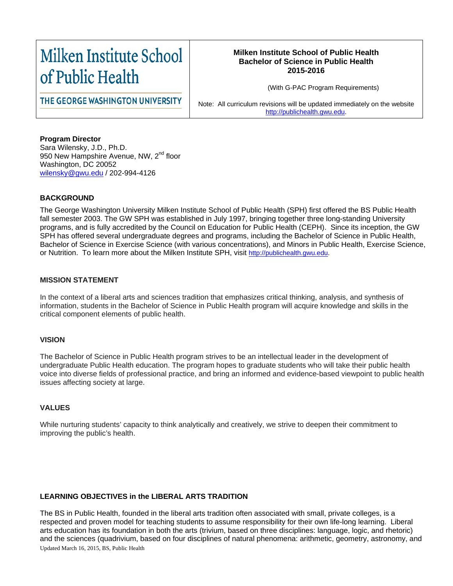# Milken Institute School of Public Health

# **Milken Institute School of Public Health Bachelor of Science in Public Health 2015-2016**

(With G-PAC Program Requirements)

THE GEORGE WASHINGTON UNIVERSITY

Note: All curriculum revisions will be updated immediately on the website [http://publichealth.gwu.edu.](http://publichealth.gwu.edu/)

**Program Director** Sara Wilensky, J.D., Ph.D. 950 New Hampshire Avenue, NW, 2<sup>nd</sup> floor Washington, DC 20052 [wilensky@gwu.edu](mailto:wilensky@gwu.edu) / 202-994-4126

# **BACKGROUND**

The George Washington University Milken Institute School of Public Health (SPH) first offered the BS Public Health fall semester 2003. The GW SPH was established in July 1997, bringing together three long-standing University programs, and is fully accredited by the Council on Education for Public Health (CEPH). Since its inception, the GW SPH has offered several undergraduate degrees and programs, including the Bachelor of Science in Public Health, Bachelor of Science in Exercise Science (with various concentrations), and Minors in Public Health, Exercise Science, or Nutrition. To learn more about the Milken Institute SPH, visit [http://publichealth.gwu.edu.](http://publichealth.gwu.edu/)

# **MISSION STATEMENT**

In the context of a liberal arts and sciences tradition that emphasizes critical thinking, analysis, and synthesis of information, students in the Bachelor of Science in Public Health program will acquire knowledge and skills in the critical component elements of public health.

#### **VISION**

The Bachelor of Science in Public Health program strives to be an intellectual leader in the development of undergraduate Public Health education. The program hopes to graduate students who will take their public health voice into diverse fields of professional practice, and bring an informed and evidence-based viewpoint to public health issues affecting society at large.

#### **VALUES**

While nurturing students' capacity to think analytically and creatively, we strive to deepen their commitment to improving the public's health.

# **LEARNING OBJECTIVES in the LIBERAL ARTS TRADITION**

The BS in Public Health, founded in the liberal arts tradition often associated with small, private colleges, is a respected and proven model for teaching students to assume responsibility for their own life-long learning. Liberal arts education has its foundation in both the arts (trivium, based on three disciplines: language, logic, and rhetoric) and the sciences (quadrivium, based on four disciplines of natural phenomena: arithmetic, geometry, astronomy, and Updated March 16, 2015, BS, Public Health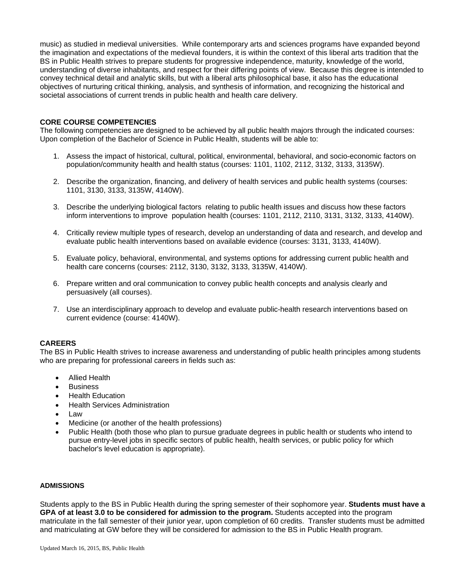music) as studied in medieval universities. While contemporary arts and sciences programs have expanded beyond the imagination and expectations of the medieval founders, it is within the context of this liberal arts tradition that the BS in Public Health strives to prepare students for progressive independence, maturity, knowledge of the world, understanding of diverse inhabitants, and respect for their differing points of view. Because this degree is intended to convey technical detail and analytic skills, but with a liberal arts philosophical base, it also has the educational objectives of nurturing critical thinking, analysis, and synthesis of information, and recognizing the historical and societal associations of current trends in public health and health care delivery.

#### **CORE COURSE COMPETENCIES**

The following competencies are designed to be achieved by all public health majors through the indicated courses: Upon completion of the Bachelor of Science in Public Health, students will be able to:

- 1. Assess the impact of historical, cultural, political, environmental, behavioral, and socio-economic factors on population/community health and health status (courses: 1101, 1102, 2112, 3132, 3133, 3135W).
- 2. Describe the organization, financing, and delivery of health services and public health systems (courses: 1101, 3130, 3133, 3135W, 4140W).
- 3. Describe the underlying biological factors relating to public health issues and discuss how these factors inform interventions to improve population health (courses: 1101, 2112, 2110, 3131, 3132, 3133, 4140W).
- 4. Critically review multiple types of research, develop an understanding of data and research, and develop and evaluate public health interventions based on available evidence (courses: 3131, 3133, 4140W).
- 5. Evaluate policy, behavioral, environmental, and systems options for addressing current public health and health care concerns (courses: 2112, 3130, 3132, 3133, 3135W, 4140W).
- 6. Prepare written and oral communication to convey public health concepts and analysis clearly and persuasively (all courses).
- 7. Use an interdisciplinary approach to develop and evaluate public-health research interventions based on current evidence (course: 4140W).

#### **CAREERS**

The BS in Public Health strives to increase awareness and understanding of public health principles among students who are preparing for professional careers in fields such as:

- Allied Health
- **Business**
- Health Education
- Health Services Administration
- Law
- Medicine (or another of the health professions)
- Public Health (both those who plan to pursue graduate degrees in public health or students who intend to pursue entry-level jobs in specific sectors of public health, health services, or public policy for which bachelor's level education is appropriate).

#### **ADMISSIONS**

Students apply to the BS in Public Health during the spring semester of their sophomore year. **Students must have a GPA of at least 3.0 to be considered for admission to the program.** Students accepted into the program matriculate in the fall semester of their junior year, upon completion of 60 credits. Transfer students must be admitted and matriculating at GW before they will be considered for admission to the BS in Public Health program.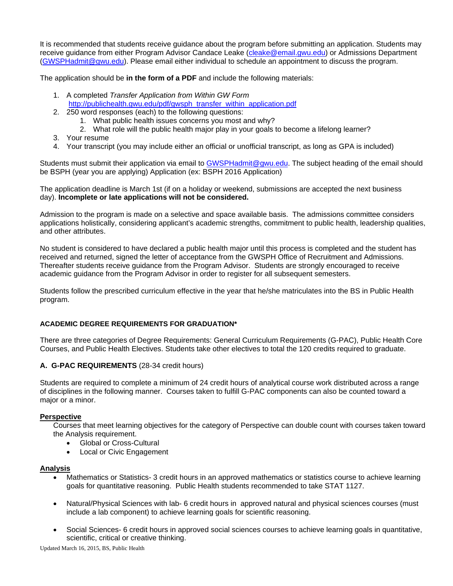It is recommended that students receive guidance about the program before submitting an application. Students may receive guidance from either Program Advisor Candace Leake [\(cleake@email.gwu.edu\)](mailto:cleake@email.gwu.edu) or Admissions Department [\(GWSPHadmit@gwu.edu\)](mailto:GWSPHadmit@gwu.edu). Please email either individual to schedule an appointment to discuss the program.

The application should be **in the form of a PDF** and include the following materials:

- 1. A completed *Transfer Application from Within GW Form* [http://publichealth.gwu.edu/pdf/gwsph\\_transfer\\_within\\_application.pdf](http://publichealth.gwu.edu/pdf/gwsph_transfer_within_application.pdf)
- 2. 250 word responses (each) to the following questions:
	- 1. What public health issues concerns you most and why?
	- 2. What role will the public health major play in your goals to become a lifelong learner?
- 3. Your resume
- 4. Your transcript (you may include either an official or unofficial transcript, as long as GPA is included)

Students must submit their application via email to [GWSPHadmit@gwu.edu.](mailto:GWSPHadmit@gwu.edu) The subject heading of the email should be BSPH (year you are applying) Application (ex: BSPH 2016 Application)

The application deadline is March 1st (if on a holiday or weekend, submissions are accepted the next business day). **Incomplete or late applications will not be considered.**

Admission to the program is made on a selective and space available basis. The admissions committee considers applications holistically, considering applicant's academic strengths, commitment to public health, leadership qualities, and other attributes.

No student is considered to have declared a public health major until this process is completed and the student has received and returned, signed the letter of acceptance from the GWSPH Office of Recruitment and Admissions. Thereafter students receive guidance from the Program Advisor. Students are strongly encouraged to receive academic guidance from the Program Advisor in order to register for all subsequent semesters.

Students follow the prescribed curriculum effective in the year that he/she matriculates into the BS in Public Health program.

#### **ACADEMIC DEGREE REQUIREMENTS FOR GRADUATION\***

There are three categories of Degree Requirements: General Curriculum Requirements (G-PAC), Public Health Core Courses, and Public Health Electives. Students take other electives to total the 120 credits required to graduate.

# **A. G-PAC REQUIREMENTS** (28-34 credit hours)

Students are required to complete a minimum of 24 credit hours of analytical course work distributed across a range of disciplines in the following manner. Courses taken to fulfill G-PAC components can also be counted toward a major or a minor.

#### **Perspective**

Courses that meet learning objectives for the category of Perspective can double count with courses taken toward the Analysis requirement.

- Global or Cross-Cultural
- **Local or Civic Engagement**

#### **Analysis**

- Mathematics or Statistics- 3 credit hours in an approved mathematics or statistics course to achieve learning goals for quantitative reasoning. Public Health students recommended to take STAT 1127.
- Natural/Physical Sciences with lab- 6 credit hours in approved natural and physical sciences courses (must include a lab component) to achieve learning goals for scientific reasoning.
- Social Sciences- 6 credit hours in approved social sciences courses to achieve learning goals in quantitative, scientific, critical or creative thinking.

Updated March 16, 2015, BS, Public Health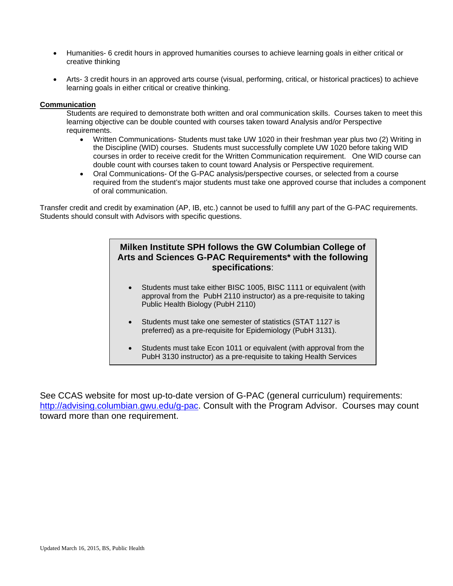- Humanities- 6 credit hours in approved humanities courses to achieve learning goals in either critical or creative thinking
- Arts- 3 credit hours in an approved arts course (visual, performing, critical, or historical practices) to achieve learning goals in either critical or creative thinking.

## **Communication**

Students are required to demonstrate both written and oral communication skills. Courses taken to meet this learning objective can be double counted with courses taken toward Analysis and/or Perspective requirements.

- Written Communications- Students must take UW 1020 in their freshman year plus two (2) Writing in the Discipline (WID) courses. Students must successfully complete UW 1020 before taking WID courses in order to receive credit for the Written Communication requirement. One WID course can double count with courses taken to count toward Analysis or Perspective requirement.
- Oral Communications- Of the G-PAC analysis/perspective courses, or selected from a course required from the student's major students must take one approved course that includes a component of oral communication.

Transfer credit and credit by examination (AP, IB, etc.) cannot be used to fulfill any part of the G-PAC requirements. Students should consult with Advisors with specific questions.

# **Milken Institute SPH follows the GW Columbian College of Arts and Sciences G-PAC Requirements\* with the following specifications**:

- Students must take either BISC 1005, BISC 1111 or equivalent (with approval from the PubH 2110 instructor) as a pre-requisite to taking Public Health Biology (PubH 2110)
- Students must take one semester of statistics (STAT 1127 is preferred) as a pre-requisite for Epidemiology (PubH 3131).
- Students must take Econ 1011 or equivalent (with approval from the PubH 3130 instructor) as a pre-requisite to taking Health Services

See CCAS website for most up-to-date version of G-PAC (general curriculum) requirements: [http://advising.columbian.gwu.edu/g-pac.](http://advising.columbian.gwu.edu/g-pac) Consult with the Program Advisor. Courses may count toward more than one requirement.

f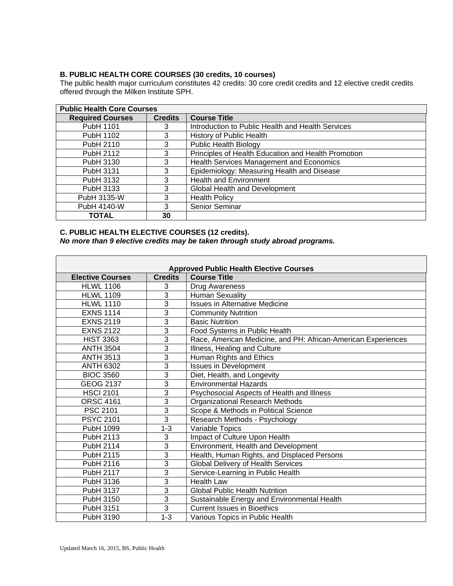# **B. PUBLIC HEALTH CORE COURSES (30 credits, 10 courses)**

The public health major curriculum constitutes 42 credits: 30 core credit credits and 12 elective credit credits offered through the Milken Institute SPH.

| <b>Public Health Core Courses</b> |                |                                                     |  |  |
|-----------------------------------|----------------|-----------------------------------------------------|--|--|
| <b>Required Courses</b>           | <b>Credits</b> | <b>Course Title</b>                                 |  |  |
| PubH 1101                         | 3              | Introduction to Public Health and Health Services   |  |  |
| PubH 1102                         | 3              | History of Public Health                            |  |  |
| PubH 2110                         | 3              | <b>Public Health Biology</b>                        |  |  |
| PubH 2112                         | 3              | Principles of Health Education and Health Promotion |  |  |
| PubH 3130                         | 3              | Health Services Management and Economics            |  |  |
| PubH 3131                         | 3              | Epidemiology: Measuring Health and Disease          |  |  |
| PubH 3132                         | 3              | <b>Health and Environment</b>                       |  |  |
| PubH 3133                         | 3              | Global Health and Development                       |  |  |
| PubH 3135-W                       | 3              | <b>Health Policy</b>                                |  |  |
| PubH 4140-W                       | 3              | Senior Seminar                                      |  |  |
| <b>TOTAL</b>                      | 30             |                                                     |  |  |

## **C. PUBLIC HEALTH ELECTIVE COURSES (12 credits).**  *No more than 9 elective credits may be taken through study abroad programs.*

| <b>Approved Public Health Elective Courses</b> |                |                                                               |  |  |  |
|------------------------------------------------|----------------|---------------------------------------------------------------|--|--|--|
| <b>Elective Courses</b>                        | <b>Credits</b> | <b>Course Title</b>                                           |  |  |  |
| <b>HLWL 1106</b>                               | 3              | Drug Awareness                                                |  |  |  |
| <b>HLWL 1109</b>                               | 3              | <b>Human Sexuality</b>                                        |  |  |  |
| <b>HLWL 1110</b>                               | 3              | <b>Issues in Alternative Medicine</b>                         |  |  |  |
| <b>EXNS 1114</b>                               | 3              | <b>Community Nutrition</b>                                    |  |  |  |
| <b>EXNS 2119</b>                               | 3              | <b>Basic Nutrition</b>                                        |  |  |  |
| <b>EXNS 2122</b>                               | 3              | Food Systems in Public Health                                 |  |  |  |
| <b>HIST 3363</b>                               | 3              | Race, American Medicine, and PH: African-American Experiences |  |  |  |
| <b>ANTH 3504</b>                               | 3              | Illness, Healing and Culture                                  |  |  |  |
| <b>ANTH 3513</b>                               | 3              | Human Rights and Ethics                                       |  |  |  |
| <b>ANTH 6302</b>                               | 3              | <b>Issues in Development</b>                                  |  |  |  |
| <b>BIOC 3560</b>                               | 3              | Diet, Health, and Longevity                                   |  |  |  |
| <b>GEOG 2137</b>                               | 3              | <b>Environmental Hazards</b>                                  |  |  |  |
| <b>HSCI 2101</b>                               | 3              | Psychosocial Aspects of Health and Illness                    |  |  |  |
| <b>ORSC 4161</b>                               | $\overline{3}$ | Organizational Research Methods                               |  |  |  |
| PSC 2101                                       | 3              | Scope & Methods in Political Science                          |  |  |  |
| <b>PSYC 2101</b>                               | 3              | Research Methods - Psychology                                 |  |  |  |
| PubH 1099                                      | $1 - 3$        | Variable Topics                                               |  |  |  |
| PubH 2113                                      | 3              | Impact of Culture Upon Health                                 |  |  |  |
| PubH 2114                                      | 3              | Environment, Health and Development                           |  |  |  |
| PubH 2115                                      | 3              | Health, Human Rights, and Displaced Persons                   |  |  |  |
| PubH 2116                                      | 3              | <b>Global Delivery of Health Services</b>                     |  |  |  |
| PubH 2117                                      | 3              | Service-Learning in Public Health                             |  |  |  |
| PubH 3136                                      | 3              | <b>Health Law</b>                                             |  |  |  |
| PubH 3137                                      | 3              | <b>Global Public Health Nutrition</b>                         |  |  |  |
| PubH 3150                                      | 3              | Sustainable Energy and Environmental Health                   |  |  |  |
| PubH 3151                                      | $\overline{3}$ | <b>Current Issues in Bioethics</b>                            |  |  |  |
| PubH 3190                                      | $1 - 3$        | Various Topics in Public Health                               |  |  |  |

 $\overline{1}$